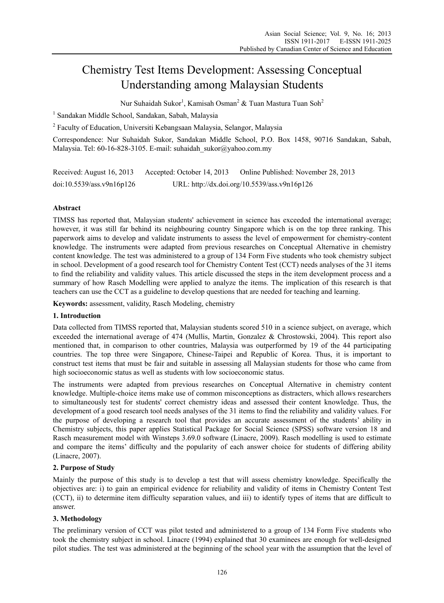# Chemistry Test Items Development: Assessing Conceptual Understanding among Malaysian Students

Nur Suhaidah Sukor<sup>1</sup>, Kamisah Osman<sup>2</sup> & Tuan Mastura Tuan Soh<sup>2</sup>

<sup>1</sup> Sandakan Middle School, Sandakan, Sabah, Malaysia

<sup>2</sup> Faculty of Education, Universiti Kebangsaan Malaysia, Selangor, Malaysia

Correspondence: Nur Suhaidah Sukor, Sandakan Middle School, P.O. Box 1458, 90716 Sandakan, Sabah, Malaysia. Tel: 60-16-828-3105. E-mail: suhaidah\_sukor@yahoo.com.my

Received: August 16, 2013 Accepted: October 14, 2013 Online Published: November 28, 2013 doi:10.5539/ass.v9n16p126 URL: http://dx.doi.org/10.5539/ass.v9n16p126

## **Abstract**

TIMSS has reported that, Malaysian students' achievement in science has exceeded the international average; however, it was still far behind its neighbouring country Singapore which is on the top three ranking. This paperwork aims to develop and validate instruments to assess the level of empowerment for chemistry-content knowledge. The instruments were adapted from previous researches on Conceptual Alternative in chemistry content knowledge. The test was administered to a group of 134 Form Five students who took chemistry subject in school. Development of a good research tool for Chemistry Content Test (CCT) needs analyses of the 31 items to find the reliability and validity values. This article discussed the steps in the item development process and a summary of how Rasch Modelling were applied to analyze the items. The implication of this research is that teachers can use the CCT as a guideline to develop questions that are needed for teaching and learning.

**Keywords:** assessment, validity, Rasch Modeling, chemistry

## **1. Introduction**

Data collected from TIMSS reported that, Malaysian students scored 510 in a science subject, on average, which exceeded the international average of 474 (Mullis, Martin, Gonzalez & Chrostowski, 2004). This report also mentioned that, in comparison to other countries, Malaysia was outperformed by 19 of the 44 participating countries. The top three were Singapore, Chinese-Taipei and Republic of Korea. Thus, it is important to construct test items that must be fair and suitable in assessing all Malaysian students for those who came from high socioeconomic status as well as students with low socioeconomic status.

The instruments were adapted from previous researches on Conceptual Alternative in chemistry content knowledge. Multiple-choice items make use of common misconceptions as distracters, which allows researchers to simultaneously test for students' correct chemistry ideas and assessed their content knowledge. Thus, the development of a good research tool needs analyses of the 31 items to find the reliability and validity values. For the purpose of developing a research tool that provides an accurate assessment of the students' ability in Chemistry subjects, this paper applies Statistical Package for Social Science (SPSS) software version 18 and Rasch measurement model with Winsteps 3.69.0 software (Linacre, 2009). Rasch modelling is used to estimate and compare the items' difficulty and the popularity of each answer choice for students of differing ability (Linacre, 2007).

#### **2. Purpose of Study**

Mainly the purpose of this study is to develop a test that will assess chemistry knowledge. Specifically the objectives are: i) to gain an empirical evidence for reliability and validity of items in Chemistry Content Test (CCT), ii) to determine item difficulty separation values, and iii) to identify types of items that are difficult to answer.

#### **3. Methodology**

The preliminary version of CCT was pilot tested and administered to a group of 134 Form Five students who took the chemistry subject in school. Linacre (1994) explained that 30 examinees are enough for well-designed pilot studies. The test was administered at the beginning of the school year with the assumption that the level of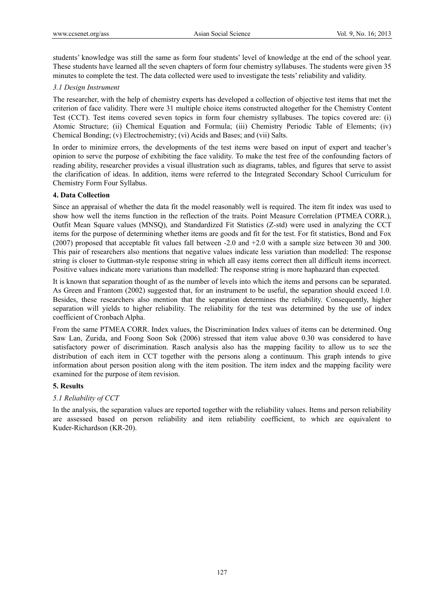students' knowledge was still the same as form four students' level of knowledge at the end of the school year. These students have learned all the seven chapters of form four chemistry syllabuses. The students were given 35 minutes to complete the test. The data collected were used to investigate the tests' reliability and validity.

### *3.1 Design Instrument*

The researcher, with the help of chemistry experts has developed a collection of objective test items that met the criterion of face validity. There were 31 multiple choice items constructed altogether for the Chemistry Content Test (CCT). Test items covered seven topics in form four chemistry syllabuses. The topics covered are: (i) Atomic Structure; (ii) Chemical Equation and Formula; (iii) Chemistry Periodic Table of Elements; (iv) Chemical Bonding; (v) Electrochemistry; (vi) Acids and Bases; and (vii) Salts.

In order to minimize errors, the developments of the test items were based on input of expert and teacher's opinion to serve the purpose of exhibiting the face validity. To make the test free of the confounding factors of reading ability, researcher provides a visual illustration such as diagrams, tables, and figures that serve to assist the clarification of ideas. In addition, items were referred to the Integrated Secondary School Curriculum for Chemistry Form Four Syllabus.

## **4. Data Collection**

Since an appraisal of whether the data fit the model reasonably well is required. The item fit index was used to show how well the items function in the reflection of the traits. Point Measure Correlation (PTMEA CORR.), Outfit Mean Square values (MNSQ), and Standardized Fit Statistics (Z-std) were used in analyzing the CCT items for the purpose of determining whether items are goods and fit for the test. For fit statistics, Bond and Fox (2007) proposed that acceptable fit values fall between -2.0 and +2.0 with a sample size between 30 and 300. This pair of researchers also mentions that negative values indicate less variation than modelled: The response string is closer to Guttman-style response string in which all easy items correct then all difficult items incorrect. Positive values indicate more variations than modelled: The response string is more haphazard than expected.

It is known that separation thought of as the number of levels into which the items and persons can be separated. As Green and Frantom (2002) suggested that, for an instrument to be useful, the separation should exceed 1.0. Besides, these researchers also mention that the separation determines the reliability. Consequently, higher separation will yields to higher reliability. The reliability for the test was determined by the use of index coefficient of Cronbach Alpha.

From the same PTMEA CORR. Index values, the Discrimination Index values of items can be determined. Ong Saw Lan, Zurida, and Foong Soon Sok (2006) stressed that item value above 0.30 was considered to have satisfactory power of discrimination. Rasch analysis also has the mapping facility to allow us to see the distribution of each item in CCT together with the persons along a continuum. This graph intends to give information about person position along with the item position. The item index and the mapping facility were examined for the purpose of item revision.

#### **5. Results**

#### *5.1 Reliability of CCT*

In the analysis, the separation values are reported together with the reliability values. Items and person reliability are assessed based on person reliability and item reliability coefficient, to which are equivalent to Kuder-Richardson (KR-20).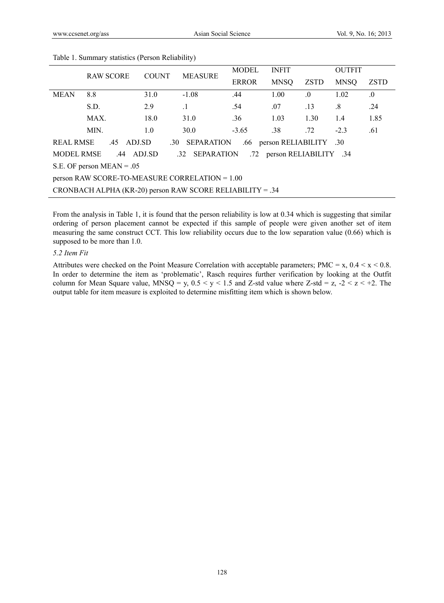|                                                                                                 | <b>RAW SCORE</b> | <b>COUNT</b> | <b>MEASURE</b> | <b>MODEL</b> | <b>INFIT</b> |         | <b>OUTFIT</b> |             |
|-------------------------------------------------------------------------------------------------|------------------|--------------|----------------|--------------|--------------|---------|---------------|-------------|
|                                                                                                 |                  |              |                | <b>ERROR</b> | <b>MNSQ</b>  | ZSTD    | <b>MNSO</b>   | <b>ZSTD</b> |
| <b>MEAN</b>                                                                                     | 8.8              | 31.0         | $-1.08$        | .44          | 1.00         | $\cdot$ | 1.02          | $\cdot$     |
|                                                                                                 | S.D.             | 2.9          | $\cdot$ 1      | .54          | .07          | .13     | $\cdot^8$     | .24         |
|                                                                                                 | MAX.             | 18.0         | 31.0           | .36          | 1.03         | 1.30    | 1.4           | 1.85        |
|                                                                                                 | MIN.             | 1.0          | 30.0           | $-3.65$      | .38          | .72     | $-2.3$        | .61         |
| <b>REAL RMSE</b><br><b>SEPARATION</b><br>person RELIABILITY .30<br>.45 ADJ.SD<br>.30<br>.66     |                  |              |                |              |              |         |               |             |
| <b>MODEL RMSE</b><br><b>SEPARATION</b><br>ADJ.SD<br>person RELIABILITY .34<br>.44<br>.32<br>.72 |                  |              |                |              |              |         |               |             |
| S.E. OF person $MEAN = .05$                                                                     |                  |              |                |              |              |         |               |             |
| person RAW SCORE-TO-MEASURE CORRELATION = 1.00                                                  |                  |              |                |              |              |         |               |             |
| CRONBACH ALPHA (KR-20) person RAW SCORE RELIABILITY = .34                                       |                  |              |                |              |              |         |               |             |

Table 1. Summary statistics (Person Reliability)

From the analysis in Table 1, it is found that the person reliability is low at 0.34 which is suggesting that similar ordering of person placement cannot be expected if this sample of people were given another set of item measuring the same construct CCT. This low reliability occurs due to the low separation value (0.66) which is supposed to be more than 1.0.

#### *5.2 Item Fit*

Attributes were checked on the Point Measure Correlation with acceptable parameters; PMC =  $x$ , 0.4 <  $x$  < 0.8. In order to determine the item as 'problematic', Rasch requires further verification by looking at the Outfit column for Mean Square value, MNSQ = y,  $0.5 < y < 1.5$  and Z-std value where Z-std = z,  $-2 < z < +2$ . The output table for item measure is exploited to determine misfitting item which is shown below.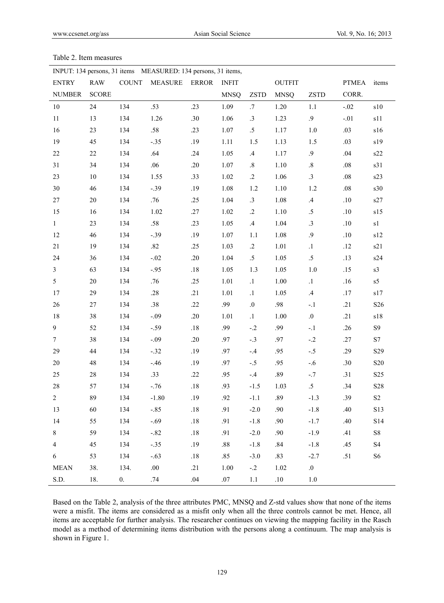| INPUT: 134 persons, 31 items MEASURED: 134 persons, 31 items, |              |              |                |              |              |                 |               |             |              |                             |
|---------------------------------------------------------------|--------------|--------------|----------------|--------------|--------------|-----------------|---------------|-------------|--------------|-----------------------------|
| <b>ENTRY</b>                                                  | <b>RAW</b>   | <b>COUNT</b> | <b>MEASURE</b> | <b>ERROR</b> | <b>INFIT</b> |                 | <b>OUTFIT</b> |             | <b>PTMEA</b> | items                       |
| <b>NUMBER</b>                                                 | <b>SCORE</b> |              |                |              | <b>MNSQ</b>  | <b>ZSTD</b>     | <b>MNSQ</b>   | <b>ZSTD</b> | CORR.        |                             |
| $10\,$                                                        | 24           | 134          | .53            | .23          | 1.09         | .7              | 1.20          | 1.1         | $-.02$       | $\sqrt{s}10$                |
| 11                                                            | 13           | 134          | 1.26           | .30          | 1.06         | $\cdot$ 3       | 1.23          | $\cdot$ .9  | $-.01$       | s11                         |
| 16                                                            | 23           | 134          | .58            | .23          | 1.07         | $.5\,$          | 1.17          | 1.0         | .03          | s16                         |
| 19                                                            | 45           | 134          | $-.35$         | .19          | 1.11         | 1.5             | 1.13          | 1.5         | .03          | s19                         |
| $22\,$                                                        | $22\,$       | 134          | .64            | .24          | 1.05         | $.4\phantom{0}$ | 1.17          | $\cdot$ .9  | .04          | s22                         |
| 31                                                            | 34           | 134          | .06            | .20          | 1.07         | $.8\,$          | $1.10\,$      | $.8\,$      | $.08\,$      | s31                         |
| 23                                                            | 10           | 134          | 1.55           | .33          | 1.02         | $\cdot$ .2      | 1.06          | $\cdot$ 3   | $.08\,$      | s23                         |
| 30                                                            | 46           | 134          | $-.39$         | .19          | 1.08         | 1.2             | 1.10          | 1.2         | $.08\,$      | s30                         |
| $27\,$                                                        | $20\,$       | 134          | .76            | .25          | 1.04         | .3              | 1.08          | $.4\,$      | .10          | s27                         |
| 15                                                            | 16           | 134          | 1.02           | .27          | 1.02         | $\cdot$ .2      | 1.10          | $.5\,$      | $.10$        | s15                         |
| $\mathbf{1}$                                                  | 23           | 134          | .58            | .23          | 1.05         | $.4\phantom{0}$ | 1.04          | .3          | $.10$        | s1                          |
| 12                                                            | 46           | 134          | $-.39$         | .19          | 1.07         | 1.1             | 1.08          | $\cdot$ 9   | $.10$        | $\boldsymbol{\mathrm{s}}12$ |
| $21\,$                                                        | 19           | 134          | .82            | .25          | 1.03         | $\cdot$ .2      | 1.01          | $\cdot$     | .12          | s21                         |
| 24                                                            | 36           | 134          | $-.02$         | .20          | 1.04         | $.5\,$          | 1.05          | $.5\,$      | .13          | s24                         |
| $\mathfrak{Z}$                                                | 63           | 134          | $-.95$         | $.18\,$      | 1.05         | 1.3             | 1.05          | $1.0$       | .15          | s3                          |
| 5                                                             | $20\,$       | 134          | .76            | .25          | 1.01         | $\cdot$ 1       | 1.00          | $\cdot$ 1   | .16          | s5                          |
| 17                                                            | 29           | 134          | .28            | .21          | 1.01         | $\cdot1$        | 1.05          | $.4\,$      | .17          | s17                         |
| 26                                                            | $27\,$       | 134          | .38            | .22          | .99          | $.0\,$          | .98           | $-.1$       | .21          | S <sub>26</sub>             |
| 18                                                            | 38           | 134          | $-.09$         | .20          | 1.01         | $\cdot$ 1       | $1.00\,$      | $.0\,$      | .21          | $\sqrt{s}18$                |
| 9                                                             | 52           | 134          | $-.59$         | $.18\,$      | .99          | $-.2$           | .99           | $-.1$       | .26          | <b>S9</b>                   |
| $7\overline{ }$                                               | 38           | 134          | $-.09$         | .20          | .97          | $-.3$           | .97           | $-.2$       | .27          | S7                          |
| 29                                                            | 44           | 134          | $-.32$         | .19          | .97          | $-.4$           | .95           | $-.5$       | .29          | S <sub>29</sub>             |
| $20\,$                                                        | 48           | 134          | $-.46$         | .19          | .97          | $-.5$           | .95           | $-.6$       | .30          | <b>S20</b>                  |
| 25                                                            | $28\,$       | 134          | .33            | .22          | .95          | $-.4$           | .89           | $-.7$       | .31          | S <sub>25</sub>             |
| $28\,$                                                        | 57           | 134          | $-.76$         | $.18\,$      | .93          | $-1.5$          | 1.03          | $.5\,$      | .34          | $\mathbf{S28}$              |
| 2                                                             | 89           | 134          | $-1.80$        | .19          | .92          | $-1.1$          | .89           | $-1.3$      | .39          | $\rm S2$                    |
| 13                                                            | 60           | 134          | $-.85$         | $.18\,$      | .91          | $-2.0$          | .90           | $-1.8$      | .40          | S13                         |
| 14                                                            | 55           | 134          | $-.69$         | $.18\,$      | .91          | $-1.8$          | .90           | $-1.7$      | .40          | S14                         |
| $8\,$                                                         | 59           | 134          | $-.82$         | $.18\,$      | .91          | $-2.0$          | .90           | $-1.9$      | .41          | ${\rm S}8$                  |
| $\overline{4}$                                                | 45           | 134          | $-.35$         | .19          | $.88\,$      | $-1.8$          | $.84$         | $-1.8$      | .45          | $\ensuremath{\mathrm{S}}4$  |
| 6                                                             | 53           | 134          | $-.63$         | $.18\,$      | .85          | $-3.0$          | .83           | $-2.7$      | .51          | S <sub>6</sub>              |
| <b>MEAN</b>                                                   | 38.          | 134.         | .00.           | .21          | 1.00         | $-.2$           | 1.02          | 0.          |              |                             |
| S.D.                                                          | 18.          | 0.           | .74            | .04          | $.07\,$      | $1.1\,$         | $.10\,$       | $1.0\,$     |              |                             |

#### Table 2. Item measures

Based on the Table 2, analysis of the three attributes PMC, MNSQ and Z-std values show that none of the items were a misfit. The items are considered as a misfit only when all the three controls cannot be met. Hence, all items are acceptable for further analysis. The researcher continues on viewing the mapping facility in the Rasch model as a method of determining items distribution with the persons along a continuum. The map analysis is shown in Figure 1.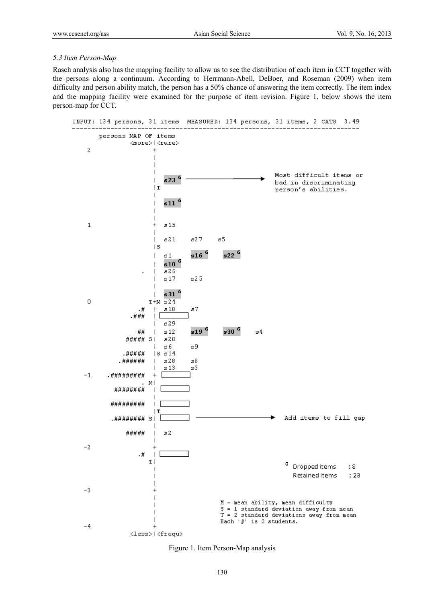#### *5.3 Item Person-Map*

Rasch analysis also has the mapping facility to allow us to see the distribution of each item in CCT together with the persons along a continuum. According to Herrmann-Abell, DeBoer, and Roseman (2009) when item difficulty and person ability match, the person has a 50% chance of answering the item correctly. The item index and the mapping facility were examined for the purpose of item revision. Figure 1, below shows the item person-map for CCT.



Figure 1. Item Person-Map analysis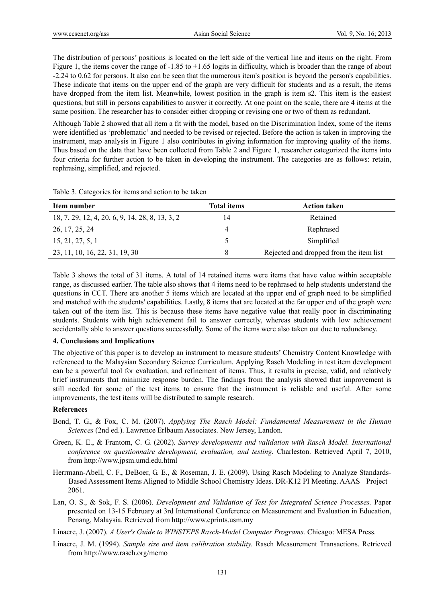The distribution of persons' positions is located on the left side of the vertical line and items on the right. From Figure 1, the items cover the range of -1.85 to +1.65 logits in difficulty, which is broader than the range of about -2.24 to 0.62 for persons. It also can be seen that the numerous item's position is beyond the person's capabilities. These indicate that items on the upper end of the graph are very difficult for students and as a result, the items have dropped from the item list. Meanwhile, lowest position in the graph is item s2. This item is the easiest questions, but still in persons capabilities to answer it correctly. At one point on the scale, there are 4 items at the same position. The researcher has to consider either dropping or revising one or two of them as redundant.

Although Table 2 showed that all item a fit with the model, based on the Discrimination Index, some of the items were identified as 'problematic' and needed to be revised or rejected. Before the action is taken in improving the instrument, map analysis in Figure 1 also contributes in giving information for improving quality of the items. Thus based on the data that have been collected from Table 2 and Figure 1, researcher categorized the items into four criteria for further action to be taken in developing the instrument. The categories are as follows: retain, rephrasing, simplified, and rejected.

Table 3. Categories for items and action to be taken

| Item number                                     | <b>Total items</b> | <b>Action taken</b>                     |
|-------------------------------------------------|--------------------|-----------------------------------------|
| 18, 7, 29, 12, 4, 20, 6, 9, 14, 28, 8, 13, 3, 2 | 14                 | Retained                                |
| 26, 17, 25, 24                                  | 4                  | Rephrased                               |
| 15, 21, 27, 5, 1                                |                    | Simplified                              |
| 23, 11, 10, 16, 22, 31, 19, 30                  | 8                  | Rejected and dropped from the item list |

Table 3 shows the total of 31 items. A total of 14 retained items were items that have value within acceptable range, as discussed earlier. The table also shows that 4 items need to be rephrased to help students understand the questions in CCT. There are another 5 items which are located at the upper end of graph need to be simplified and matched with the students' capabilities. Lastly, 8 items that are located at the far upper end of the graph were taken out of the item list. This is because these items have negative value that really poor in discriminating students. Students with high achievement fail to answer correctly, whereas students with low achievement accidentally able to answer questions successfully. Some of the items were also taken out due to redundancy.

#### **4. Conclusions and Implications**

The objective of this paper is to develop an instrument to measure students' Chemistry Content Knowledge with referenced to the Malaysian Secondary Science Curriculum. Applying Rasch Modeling in test item development can be a powerful tool for evaluation, and refinement of items. Thus, it results in precise, valid, and relatively brief instruments that minimize response burden. The findings from the analysis showed that improvement is still needed for some of the test items to ensure that the instrument is reliable and useful. After some improvements, the test items will be distributed to sample research.

#### **References**

- Bond, T. G., & Fox, C. M. (2007). *Applying The Rasch Model: Fundamental Measurement in the Human Sciences* (2nd ed.). Lawrence Erlbaum Associates. New Jersey, Landon.
- Green, K. E., & Frantom, C. G. (2002). *Survey developments and validation with Rasch Model. International conference on questionnaire development, evaluation, and testing.* Charleston. Retrieved April 7, 2010, from http://www.jpsm.umd.edu.html
- Herrmann-Abell, C. F., DeBoer, G. E., & Roseman, J. E. (2009). Using Rasch Modeling to Analyze Standards- Based Assessment Items Aligned to Middle School Chemistry Ideas. DR-K12 PI Meeting. AAAS Project 2061.
- Lan, O. S., & Sok, F. S. (2006). *Development and Validation of Test for Integrated Science Processes.* Paper presented on 13-15 February at 3rd International Conference on Measurement and Evaluation in Education, Penang, Malaysia. Retrieved from http://www.eprints.usm.my
- Linacre, J. (2007). *A User's Guide to WINSTEPS Rasch-Model Computer Programs.* Chicago: MESA Press.
- Linacre, J. M. (1994). *Sample size and item calibration stability.* Rasch Measurement Transactions. Retrieved from http://www.rasch.org/memo